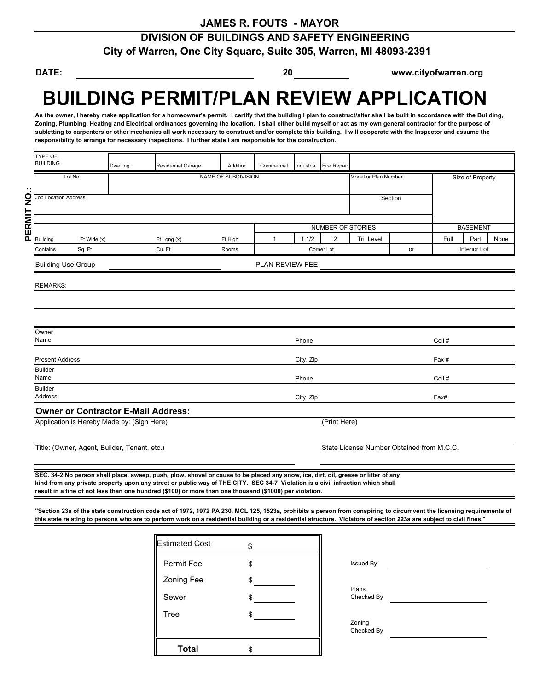# **DIVISION OF BUILDINGS AND SAFETY ENGINEERING City of Warren, One City Square, Suite 305, Warren, MI 48093-2391**

**DATE: 20 www.cityofwarren.org**

# **BUILDING PERMIT/PLAN REVIEW APPLICATION**

As the owner, I hereby make application for a homeowner's permit. I certify that the building I plan to construct/alter shall be built in accordance with the Building, **Zoning, Plumbing, Heating and Electrical ordinances governing the location. I shall either build myself or act as my own general contractor for the purpose of subletting to carpenters or other mechanics all work necessary to construct and/or complete this building. I will cooperate with the Inspector and assume the responsibility to arrange for necessary inspections. I further state I am responsible for the construction.** 

|             | TYPE OF<br><b>BUILDING</b>                   |             | Dwelling            | <b>Residential Garage</b>                  | Addition | Commercial      |           | Industrial Fire Repair |                      |                                           |                  |                 |      |
|-------------|----------------------------------------------|-------------|---------------------|--------------------------------------------|----------|-----------------|-----------|------------------------|----------------------|-------------------------------------------|------------------|-----------------|------|
|             | Lot No                                       |             | NAME OF SUBDIVISION |                                            |          |                 |           |                        | Model or Plan Number |                                           | Size of Property |                 |      |
|             |                                              |             |                     |                                            |          |                 |           |                        |                      |                                           |                  |                 |      |
|             | Job Location Address                         |             |                     |                                            |          |                 |           |                        |                      | Section                                   |                  |                 |      |
| PERMIT NO.: |                                              |             |                     |                                            |          |                 |           |                        |                      |                                           |                  |                 |      |
|             |                                              |             |                     |                                            |          |                 |           | NUMBER OF STORIES      |                      |                                           |                  | <b>BASEMENT</b> |      |
|             | <b>Building</b>                              | Ft Wide (x) |                     | Ft Long (x)                                | Ft High  | 1               | 11/2      | 2                      | Tri Level            |                                           | Full             | Part            | None |
|             | Contains                                     | Sq. Ft      |                     | Cu. Ft                                     | Rooms    | Corner Lot      |           |                        |                      | or                                        | Interior Lot     |                 |      |
|             | <b>Building Use Group</b>                    |             |                     |                                            |          | PLAN REVIEW FEE |           |                        |                      |                                           |                  |                 |      |
|             |                                              |             |                     |                                            |          |                 |           |                        |                      |                                           |                  |                 |      |
|             | <b>REMARKS:</b>                              |             |                     |                                            |          |                 |           |                        |                      |                                           |                  |                 |      |
|             |                                              |             |                     |                                            |          |                 |           |                        |                      |                                           |                  |                 |      |
|             |                                              |             |                     |                                            |          |                 |           |                        |                      |                                           |                  |                 |      |
|             | Owner                                        |             |                     |                                            |          |                 |           |                        |                      |                                           |                  |                 |      |
|             | Name                                         |             |                     |                                            |          |                 | Phone     |                        |                      |                                           | Cell #           |                 |      |
|             | <b>Present Address</b>                       |             |                     |                                            |          |                 | City, Zip |                        |                      |                                           | Fax#             |                 |      |
|             | <b>Builder</b>                               |             |                     |                                            |          |                 |           |                        |                      |                                           |                  |                 |      |
|             | Name<br><b>Builder</b>                       |             |                     |                                            |          |                 | Phone     |                        |                      |                                           | Cell #           |                 |      |
|             | Address                                      |             |                     |                                            |          |                 | City, Zip |                        |                      |                                           | Fax#             |                 |      |
|             |                                              |             |                     | <b>Owner or Contractor E-Mail Address:</b> |          |                 |           |                        |                      |                                           |                  |                 |      |
|             | Application is Hereby Made by: (Sign Here)   |             |                     |                                            |          |                 |           | (Print Here)           |                      |                                           |                  |                 |      |
|             | Title: (Owner, Agent, Builder, Tenant, etc.) |             |                     |                                            |          |                 |           |                        |                      | State License Number Obtained from M.C.C. |                  |                 |      |
|             |                                              |             |                     |                                            |          |                 |           |                        |                      |                                           |                  |                 |      |

**SEC. 34-2 No person shall place, sweep, push, plow, shovel or cause to be placed any snow, ice, dirt, oil, grease or litter of any kind from any private property upon any street or public way of THE CITY. SEC 34-7 Violation is a civil infraction which shall result in a fine of not less than one hundred (\$100) or more than one thousand (\$1000) per violation.**

**"Section 23a of the state construction code act of 1972, 1972 PA 230, MCL 125, 1523a, prohibits a person from conspiring to circumvent the licensing requirements of this state relating to persons who are to perform work on a residential building or a residential structure. Violators of section 223a are subject to civil fines."**

| <b>Estimated Cost</b> |    |            |  |
|-----------------------|----|------------|--|
| Permit Fee            |    | Issued By  |  |
| Zoning Fee            |    | Plans      |  |
| Sewer                 |    | Checked By |  |
| Tree                  |    | Zoning     |  |
|                       |    | Checked By |  |
| <b>Total</b>          | \$ |            |  |